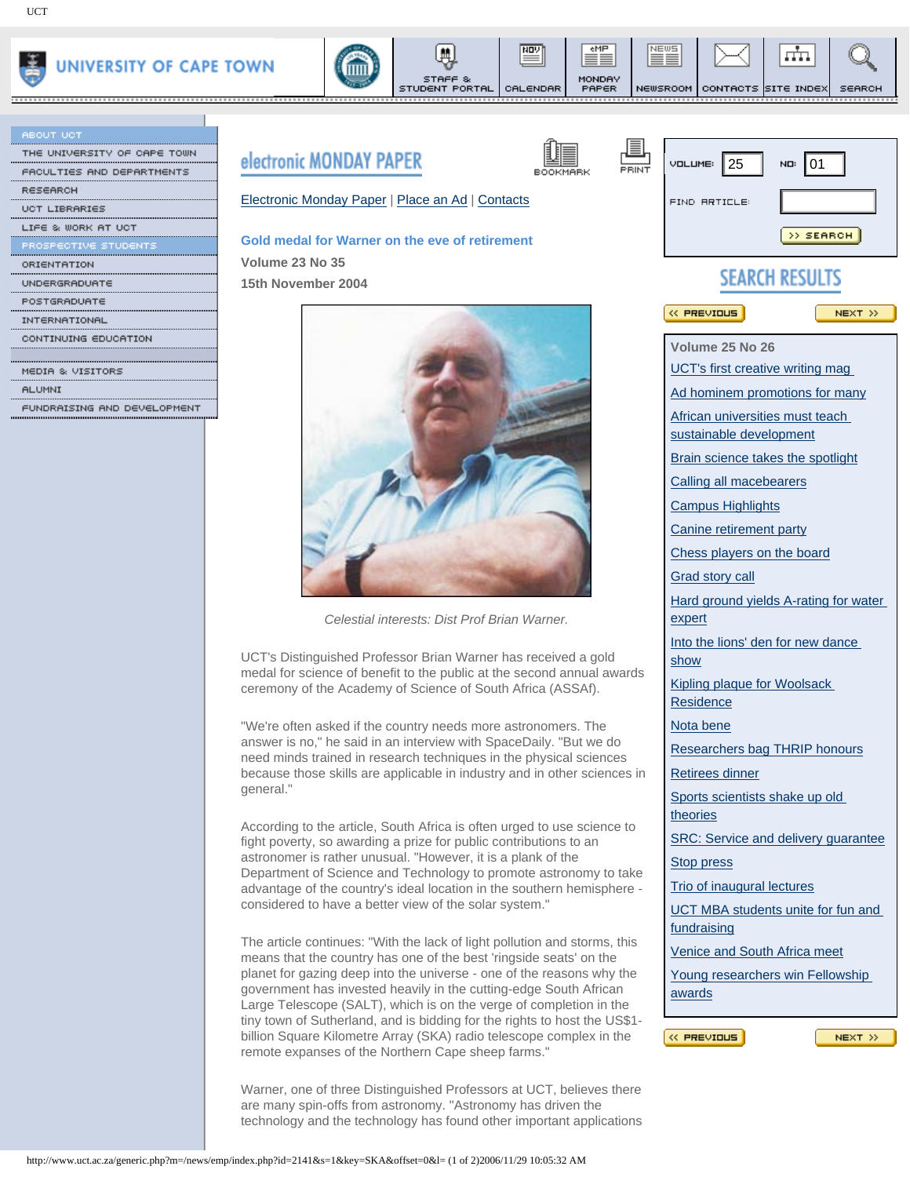

| <b>ABOUT UCT</b>            |      |
|-----------------------------|------|
| THE UNIVERSITY OF CAPE TOWN |      |
| FACULTIES AND DEPARTMENTS   |      |
| <b>RESEARCH</b>             |      |
| <b>UCT LIBRARIES</b>        | Elec |
| LIFE & WORK AT UCT          |      |
| PROSPECTIVE STUDENTS        | Gold |
| ORIENTATION                 | Volu |
| UNDERGRADUATE               | 15th |
| POSTGRADUATE                |      |
| INTERNATIONAL               |      |
| CONTINUING EDUCATION        |      |
|                             |      |
| MEDIA & VISITORS            |      |
| <b>ALUMNI</b>               |      |
|                             |      |





들

CALENDAR



eMP

MONDAY<br>PAPER

,,,,,,,,,,,

NEWS

≡≡

,,,,,,,,,,,,



NEWSROOM CONTACTS SITE INDEX

,,,,,,,,,,,,

برزي

<u>............</u>

SEARCH

|                                      | <b>electronic MUNDAT PAPEK</b>                                                                                                                 |                                                                      | $V$ DLUME: 25                                              | NO: 01                         |  |  |
|--------------------------------------|------------------------------------------------------------------------------------------------------------------------------------------------|----------------------------------------------------------------------|------------------------------------------------------------|--------------------------------|--|--|
| ACULTIES AND DEPARTMENTS<br>≀ESEARCH |                                                                                                                                                | PRINT<br>BOOKMARK                                                    |                                                            |                                |  |  |
| <b>CT LIBRARIES</b>                  | Electronic Monday Paper   Place an Ad   Contacts                                                                                               |                                                                      | <b>FIND RRTICLE:</b>                                       |                                |  |  |
|                                      |                                                                                                                                                |                                                                      |                                                            |                                |  |  |
|                                      | Gold medal for Warner on the eve of retirement                                                                                                 |                                                                      |                                                            | >> SEARCH                      |  |  |
|                                      | Volume 23 No 35                                                                                                                                |                                                                      |                                                            |                                |  |  |
|                                      | 15th November 2004                                                                                                                             |                                                                      | <b>SEARCH RESULTS</b>                                      |                                |  |  |
|                                      |                                                                                                                                                |                                                                      |                                                            |                                |  |  |
|                                      |                                                                                                                                                |                                                                      | <b>K PREVIOUS</b>                                          | NEXT >>                        |  |  |
| ONTINUING EDUCATION                  |                                                                                                                                                |                                                                      | Volume 25 No 26                                            |                                |  |  |
|                                      |                                                                                                                                                |                                                                      | UCT's first creative writing mag                           |                                |  |  |
| ILUMNI                               |                                                                                                                                                |                                                                      |                                                            | Ad hominem promotions for many |  |  |
| UNDRAISING AND DEVELOPMENT           |                                                                                                                                                |                                                                      |                                                            |                                |  |  |
|                                      |                                                                                                                                                |                                                                      | African universities must teach<br>sustainable development |                                |  |  |
|                                      |                                                                                                                                                |                                                                      | Brain science takes the spotlight                          |                                |  |  |
|                                      |                                                                                                                                                |                                                                      | Calling all macebearers                                    |                                |  |  |
|                                      |                                                                                                                                                |                                                                      | <b>Campus Highlights</b>                                   |                                |  |  |
|                                      |                                                                                                                                                |                                                                      | Canine retirement party                                    |                                |  |  |
|                                      |                                                                                                                                                |                                                                      | Chess players on the board                                 |                                |  |  |
|                                      |                                                                                                                                                |                                                                      | Grad story call                                            |                                |  |  |
|                                      |                                                                                                                                                |                                                                      | Hard ground yields A-rating for water                      |                                |  |  |
|                                      | Celestial interests: Dist Prof Brian Warner.                                                                                                   |                                                                      | expert                                                     |                                |  |  |
|                                      |                                                                                                                                                | Into the lions' den for new dance                                    |                                                            |                                |  |  |
|                                      | UCT's Distinguished Professor Brian Warner has received a gold                                                                                 |                                                                      | show                                                       |                                |  |  |
|                                      | medal for science of benefit to the public at the second annual awards<br>ceremony of the Academy of Science of South Africa (ASSAf).          |                                                                      | Kipling plaque for Woolsack<br>Residence                   |                                |  |  |
|                                      | "We're often asked if the country needs more astronomers. The                                                                                  | Nota bene                                                            |                                                            |                                |  |  |
|                                      | answer is no," he said in an interview with SpaceDaily. "But we do                                                                             |                                                                      | Researchers bag THRIP honours                              |                                |  |  |
|                                      | need minds trained in research techniques in the physical sciences<br>because those skills are applicable in industry and in other sciences in |                                                                      | <b>Retirees dinner</b>                                     |                                |  |  |
|                                      | general."                                                                                                                                      |                                                                      |                                                            |                                |  |  |
|                                      | According to the article, South Africa is often urged to use science to                                                                        |                                                                      | Sports scientists shake up old<br>theories                 |                                |  |  |
|                                      | fight poverty, so awarding a prize for public contributions to an                                                                              |                                                                      | SRC: Service and delivery guarantee                        |                                |  |  |
|                                      | astronomer is rather unusual. "However, it is a plank of the                                                                                   |                                                                      | Stop press                                                 |                                |  |  |
|                                      | Department of Science and Technology to promote astronomy to take<br>advantage of the country's ideal location in the southern hemisphere -    |                                                                      | Trio of inaugural lectures                                 |                                |  |  |
|                                      | considered to have a better view of the solar system."                                                                                         |                                                                      | UCT MBA students unite for fun and                         |                                |  |  |
|                                      |                                                                                                                                                | fundraising                                                          |                                                            |                                |  |  |
|                                      | The article continues: "With the lack of light pollution and storms, this                                                                      |                                                                      |                                                            |                                |  |  |
|                                      | means that the country has one of the best 'ringside seats' on the                                                                             |                                                                      | Venice and South Africa meet                               |                                |  |  |
|                                      | planet for gazing deep into the universe - one of the reasons why the<br>government has invested heavily in the cutting-edge South African     |                                                                      | Young researchers win Fellowship                           |                                |  |  |
|                                      | Large Telescope (SALT), which is on the verge of completion in the                                                                             |                                                                      | awards                                                     |                                |  |  |
|                                      | tiny town of Sutherland, and is bidding for the rights to host the US\$1-                                                                      |                                                                      |                                                            |                                |  |  |
|                                      | billion Square Kilometre Array (SKA) radio telescope complex in the<br>remote expanses of the Northern Cape sheep farms."                      |                                                                      | <b>KK PREVIOUS</b>                                         | NEXT >>                        |  |  |
|                                      |                                                                                                                                                |                                                                      |                                                            |                                |  |  |
|                                      |                                                                                                                                                | Warner, one of three Distinguished Professors at UCT, believes there |                                                            |                                |  |  |
|                                      | are many spin-offs from astronomy. "Astronomy has driven the                                                                                   |                                                                      |                                                            |                                |  |  |
|                                      | technology and the technology has found other important applications                                                                           |                                                                      |                                                            |                                |  |  |
|                                      |                                                                                                                                                |                                                                      |                                                            |                                |  |  |
|                                      | http://www.uct.ac.za/generic.php?m=/news/emp/index.php?id=2141&s=1&key=SKA&offset=0&l= (1 of 2)2006/11/29 10:05:32 AM                          |                                                                      |                                                            |                                |  |  |

## tronic Monday Paper | [Place an Ad](http://www.uct.ac.za/news/emp/place_add.php) | [Contacts](http://www.uct.ac.za/news/emp/editorial.php)

## **Gold medal for Warner on the eve of retirement**



STUDENT PORTAL

*Celestial interests: Dist Prof Brian Warner.*